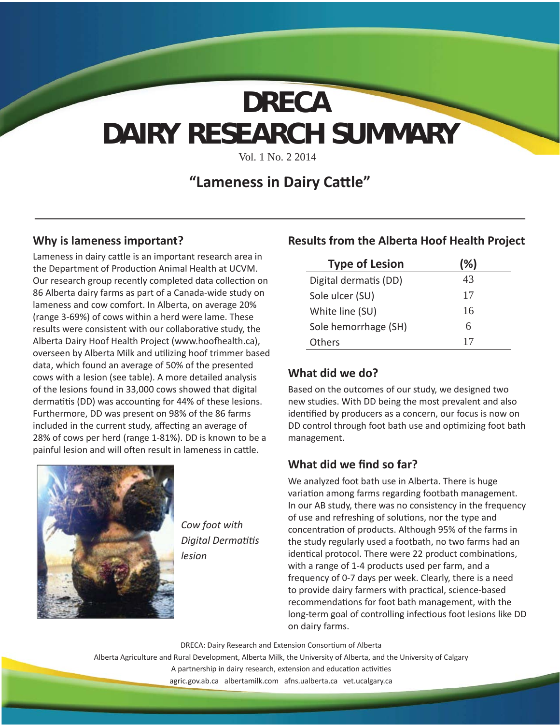# **DAIRY RESEARCH SUMMARY DRECA**

Vol. 1 No. 2 2014

## **"Lameness in Dairy Cattle"**

#### **Why is lameness important?**

Lameness in dairy cattle is an important research area in the Department of Production Animal Health at UCVM. Our research group recently completed data collection on 86 Alberta dairy farms as part of a Canada-wide study on lameness and cow comfort. In Alberta, on average 20% (range 3-69%) of cows within a herd were lame. These results were consistent with our collaborative study, the Alberta Dairy Hoof Health Project (www.hoofhealth.ca), overseen by Alberta Milk and utilizing hoof trimmer based data, which found an average of 50% of the presented cows with a lesion (see table). A more detailed analysis of the lesions found in 33,000 cows showed that digital dermatitis (DD) was accounting for 44% of these lesions. Furthermore, DD was present on 98% of the 86 farms included in the current study, affecting an average of 28% of cows per herd (range 1-81%). DD is known to be a painful lesion and will often result in lameness in cattle.



*Cow foot with* **Digital Dermatitis** *lesion*

#### **Results from the Alberta Hoof Health Project**

| <b>Type of Lesion</b> | (%) |
|-----------------------|-----|
| Digital dermatis (DD) | 43  |
| Sole ulcer (SU)       | 17  |
| White line (SU)       | 16  |
| Sole hemorrhage (SH)  | 6   |
| Others                | 17  |

#### **What did we do?**

Based on the outcomes of our study, we designed two new studies. With DD being the most prevalent and also identified by producers as a concern, our focus is now on DD control through foot bath use and optimizing foot bath management.

### **What did we find so far?**

We analyzed foot bath use in Alberta. There is huge variation among farms regarding footbath management. In our AB study, there was no consistency in the frequency of use and refreshing of solutions, nor the type and concentration of products. Although 95% of the farms in the study regularly used a footbath, no two farms had an identical protocol. There were 22 product combinations, with a range of 1-4 products used per farm, and a frequency of 0-7 days per week. Clearly, there is a need to provide dairy farmers with practical, science-based recommendations for foot bath management, with the long-term goal of controlling infectious foot lesions like DD on dairy farms.

DRECA: Dairy Research and Extension Consortium of Alberta

Alberta Agriculture and Rural Development, Alberta Milk, the University of Alberta, and the University of Calgary

A partnership in dairy research, extension and education activities

agric.gov.ab.ca albertamilk.com afns.ualberta.ca vet.ucalgary.ca